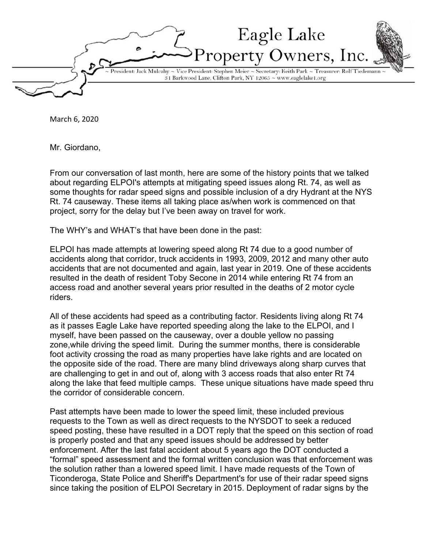Eagle Lake wners, Inc sident: Jack Mulcahy  $\sim$  Vice President: Stephen Meier  $\sim$  Secretary: Keith Park  $\sim$  Treasurer: Rolf Tiedemanı 31 Barkwood Lane, Clifton Park, NY 12065 ~ www.eaglelake1.org

March 6, 2020

Mr. Giordano,

From our conversation of last month, here are some of the history points that we talked about regarding ELPOI's attempts at mitigating speed issues along Rt. 74, as well as some thoughts for radar speed signs and possible inclusion of a dry Hydrant at the NYS Rt. 74 causeway. These items all taking place as/when work is commenced on that project, sorry for the delay but I've been away on travel for work.

The WHY's and WHAT's that have been done in the past:

ELPOI has made attempts at lowering speed along Rt 74 due to a good number of accidents along that corridor, truck accidents in 1993, 2009, 2012 and many other auto accidents that are not documented and again, last year in 2019. One of these accidents resulted in the death of resident Toby Secone in 2014 while entering Rt 74 from an access road and another several years prior resulted in the deaths of 2 motor cycle riders.

All of these accidents had speed as a contributing factor. Residents living along Rt 74 as it passes Eagle Lake have reported speeding along the lake to the ELPOI, and I myself, have been passed on the causeway, over a double yellow no passing zone,while driving the speed limit. During the summer months, there is considerable foot activity crossing the road as many properties have lake rights and are located on the opposite side of the road. There are many blind driveways along sharp curves that are challenging to get in and out of, along with 3 access roads that also enter Rt 74 along the lake that feed multiple camps. These unique situations have made speed thru the corridor of considerable concern.

Past attempts have been made to lower the speed limit, these included previous requests to the Town as well as direct requests to the NYSDOT to seek a reduced speed posting, these have resulted in a DOT reply that the speed on this section of road is properly posted and that any speed issues should be addressed by better enforcement. After the last fatal accident about 5 years ago the DOT conducted a "formal" speed assessment and the formal written conclusion was that enforcement was the solution rather than a lowered speed limit. I have made requests of the Town of Ticonderoga, State Police and Sheriff's Department's for use of their radar speed signs since taking the position of ELPOI Secretary in 2015. Deployment of radar signs by the